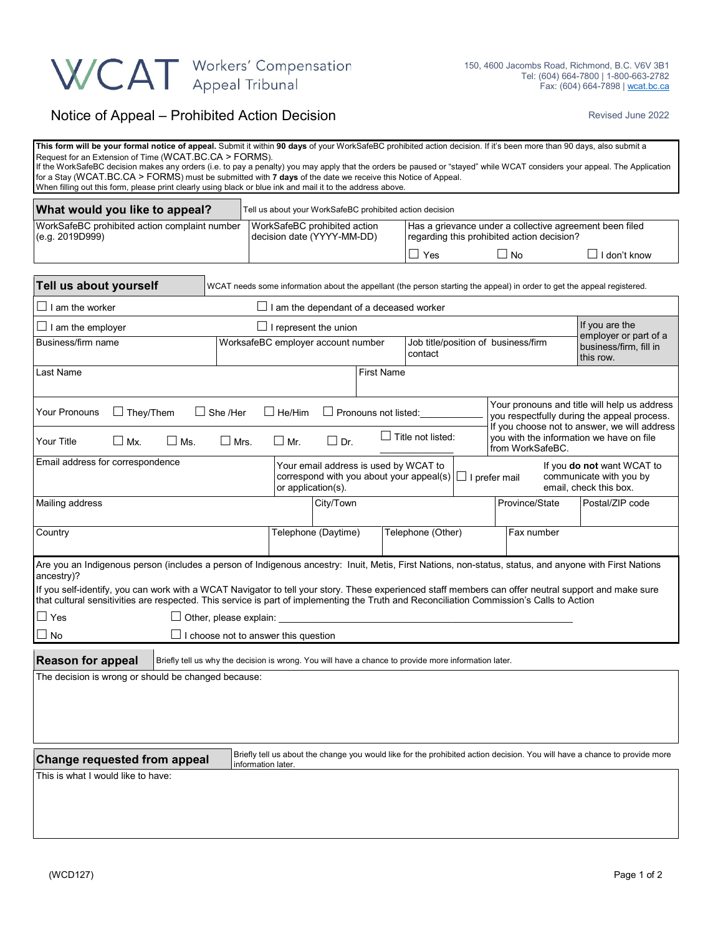## WCAT Workers' Compensation

## Notice of Appeal – Prohibited Action Decision **Revised June 2022** Revised June 2022

| This form will be your formal notice of appeal. Submit it within 90 days of your WorkSafeBC prohibited action decision. If it's been more than 90 days, also submit a<br>Request for an Extension of Time (WCAT.BC.CA > FORMS).<br>If the WorkSafeBC decision makes any orders (i.e. to pay a penalty) you may apply that the orders be paused or "stayed" while WCAT considers your appeal. The Application<br>for a Stay (WCAT.BC.CA > FORMS) must be submitted with 7 days of the date we receive this Notice of Appeal.<br>When filling out this form, please print clearly using black or blue ink and mail it to the address above. |                                                |                                                                                                                                                  |                             |                                                                                                       |                          |                     |                                                                                                                                                                                         |                                                              |  |  |  |
|-------------------------------------------------------------------------------------------------------------------------------------------------------------------------------------------------------------------------------------------------------------------------------------------------------------------------------------------------------------------------------------------------------------------------------------------------------------------------------------------------------------------------------------------------------------------------------------------------------------------------------------------|------------------------------------------------|--------------------------------------------------------------------------------------------------------------------------------------------------|-----------------------------|-------------------------------------------------------------------------------------------------------|--------------------------|---------------------|-----------------------------------------------------------------------------------------------------------------------------------------------------------------------------------------|--------------------------------------------------------------|--|--|--|
| What would you like to appeal?<br>Tell us about your WorkSafeBC prohibited action decision                                                                                                                                                                                                                                                                                                                                                                                                                                                                                                                                                |                                                |                                                                                                                                                  |                             |                                                                                                       |                          |                     |                                                                                                                                                                                         |                                                              |  |  |  |
| WorkSafeBC prohibited action complaint number<br>(e.g. 2019D999)                                                                                                                                                                                                                                                                                                                                                                                                                                                                                                                                                                          |                                                | WorkSafeBC prohibited action<br>decision date (YYYY-MM-DD)                                                                                       |                             | Has a grievance under a collective agreement been filed<br>regarding this prohibited action decision? |                          |                     |                                                                                                                                                                                         |                                                              |  |  |  |
|                                                                                                                                                                                                                                                                                                                                                                                                                                                                                                                                                                                                                                           |                                                |                                                                                                                                                  |                             | $\Box$ Yes                                                                                            |                          | $\Box$ I don't know |                                                                                                                                                                                         |                                                              |  |  |  |
| Tell us about yourself                                                                                                                                                                                                                                                                                                                                                                                                                                                                                                                                                                                                                    |                                                |                                                                                                                                                  |                             |                                                                                                       |                          |                     | WCAT needs some information about the appellant (the person starting the appeal) in order to get the appeal registered.                                                                 |                                                              |  |  |  |
| $\sqcup$ I am the worker                                                                                                                                                                                                                                                                                                                                                                                                                                                                                                                                                                                                                  | $\Box$ I am the dependant of a deceased worker |                                                                                                                                                  |                             |                                                                                                       |                          |                     |                                                                                                                                                                                         |                                                              |  |  |  |
| If you are the<br>$\!\!\!\!\!\!\!\!\!\!\bot\!\!\!\!\!\bot\!\!\!\!\bot\!\!\!\!\bot\!\!\!\!\bot\!\!\!\!\bot\!\!\!\!\bot\!\!\!\!\bot\!\!\!\!\bot\!\!\!\!\bot\!\!\!\!\bot\!\!\!\!\bot\!\!\!\!\bot\!\!\!\!\bot\!\!\!\!\bot\!\!\!\!\bot\!\!\!\!\bot\!\!\!\!\bot\!\!\!\!\bot\!\!\!\!\bot\!\!\!\!\bot\!\!\!\!\bot\!\!\!\!\bot\!\!\!\!\bot\!\!\!\!\bot\!\!\!\!\bot\!\!\!\!\bot\!\!\!\!\bot\!\!\!\!\bot\!\!\!\!\bot\!\!\!\!\bot\!\!\!\!\bot\!\!\!\!\bot\!\!\!\!\bot\!\!\!\!\bot\!\!\$<br>$\Box$ I represent the union                                                                                                                               |                                                |                                                                                                                                                  |                             |                                                                                                       |                          |                     |                                                                                                                                                                                         |                                                              |  |  |  |
| Business/firm name                                                                                                                                                                                                                                                                                                                                                                                                                                                                                                                                                                                                                        |                                                | WorksafeBC employer account number<br>Job title/position of business/firm<br>contact                                                             |                             |                                                                                                       |                          |                     |                                                                                                                                                                                         | employer or part of a<br>business/firm, fill in<br>this row. |  |  |  |
| Last Name                                                                                                                                                                                                                                                                                                                                                                                                                                                                                                                                                                                                                                 |                                                |                                                                                                                                                  |                             | <b>First Name</b>                                                                                     |                          |                     |                                                                                                                                                                                         |                                                              |  |  |  |
| Your Pronouns<br>$\Box$ They/Them                                                                                                                                                                                                                                                                                                                                                                                                                                                                                                                                                                                                         | $\Box$ She /Her                                | $\Box$ He/Him                                                                                                                                    | $\Box$ Pronouns not listed: |                                                                                                       | $\Box$ Title not listed: |                     | Your pronouns and title will help us address<br>you respectfully during the appeal process.<br>If you choose not to answer, we will address<br>you with the information we have on file |                                                              |  |  |  |
| Your Title<br>$\square$ Ms.<br>$\Box$ Mx.                                                                                                                                                                                                                                                                                                                                                                                                                                                                                                                                                                                                 | $\Box$ Mrs.                                    | $\Box$ Mr.                                                                                                                                       | $\Box$ Dr.                  |                                                                                                       |                          |                     | from WorkSafeBC.                                                                                                                                                                        |                                                              |  |  |  |
| Email address for correspondence<br>Your email address is used by WCAT to<br>If you <b>do not</b> want WCAT to<br>correspond with you about your appeal(s) $\Box$ I prefer mail<br>communicate with you by<br>or application(s).<br>email, check this box.                                                                                                                                                                                                                                                                                                                                                                                |                                                |                                                                                                                                                  |                             |                                                                                                       |                          |                     |                                                                                                                                                                                         |                                                              |  |  |  |
| Mailing address                                                                                                                                                                                                                                                                                                                                                                                                                                                                                                                                                                                                                           |                                                |                                                                                                                                                  | City/Town                   |                                                                                                       |                          |                     | Province/State                                                                                                                                                                          | Postal/ZIP code                                              |  |  |  |
| Country                                                                                                                                                                                                                                                                                                                                                                                                                                                                                                                                                                                                                                   |                                                |                                                                                                                                                  | Telephone (Daytime)         |                                                                                                       | Telephone (Other)        |                     | Fax number                                                                                                                                                                              |                                                              |  |  |  |
| Are you an Indigenous person (includes a person of Indigenous ancestry: Inuit, Metis, First Nations, non-status, status, and anyone with First Nations<br>ancestry)?                                                                                                                                                                                                                                                                                                                                                                                                                                                                      |                                                |                                                                                                                                                  |                             |                                                                                                       |                          |                     |                                                                                                                                                                                         |                                                              |  |  |  |
| If you self-identify, you can work with a WCAT Navigator to tell your story. These experienced staff members can offer neutral support and make sure<br>that cultural sensitivities are respected. This service is part of implementing the Truth and Reconciliation Commission's Calls to Action                                                                                                                                                                                                                                                                                                                                         |                                                |                                                                                                                                                  |                             |                                                                                                       |                          |                     |                                                                                                                                                                                         |                                                              |  |  |  |
| $\Box$ Yes<br>$\Box$ Other, please explain:                                                                                                                                                                                                                                                                                                                                                                                                                                                                                                                                                                                               |                                                |                                                                                                                                                  |                             |                                                                                                       |                          |                     |                                                                                                                                                                                         |                                                              |  |  |  |
| $\Box$ No<br>$\Box$ I choose not to answer this question                                                                                                                                                                                                                                                                                                                                                                                                                                                                                                                                                                                  |                                                |                                                                                                                                                  |                             |                                                                                                       |                          |                     |                                                                                                                                                                                         |                                                              |  |  |  |
| <b>Reason for appeal</b><br>Briefly tell us why the decision is wrong. You will have a chance to provide more information later.                                                                                                                                                                                                                                                                                                                                                                                                                                                                                                          |                                                |                                                                                                                                                  |                             |                                                                                                       |                          |                     |                                                                                                                                                                                         |                                                              |  |  |  |
| The decision is wrong or should be changed because:                                                                                                                                                                                                                                                                                                                                                                                                                                                                                                                                                                                       |                                                |                                                                                                                                                  |                             |                                                                                                       |                          |                     |                                                                                                                                                                                         |                                                              |  |  |  |
| Change requested from appeal                                                                                                                                                                                                                                                                                                                                                                                                                                                                                                                                                                                                              |                                                | Briefly tell us about the change you would like for the prohibited action decision. You will have a chance to provide more<br>information later. |                             |                                                                                                       |                          |                     |                                                                                                                                                                                         |                                                              |  |  |  |
| This is what I would like to have:                                                                                                                                                                                                                                                                                                                                                                                                                                                                                                                                                                                                        |                                                |                                                                                                                                                  |                             |                                                                                                       |                          |                     |                                                                                                                                                                                         |                                                              |  |  |  |